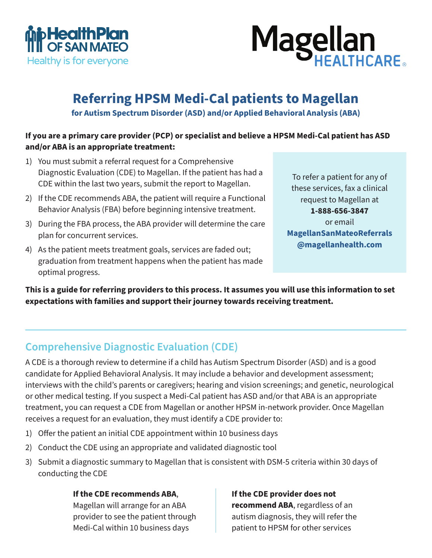



# **Referring HPSM Medi-Cal patients to Magellan**

**for Autism Spectrum Disorder (ASD) and/or Applied Behavioral Analysis (ABA)**

### **If you are a primary care provider (PCP) or specialist and believe a HPSM Medi-Cal patient has ASD and/or ABA is an appropriate treatment:**

- 1) You must submit a referral request for a Comprehensive Diagnostic Evaluation (CDE) to Magellan. If the patient has had a CDE within the last two years, submit the report to Magellan.
- 2) If the CDE recommends ABA, the patient will require a Functional Behavior Analysis (FBA) before beginning intensive treatment.
- 3) During the FBA process, the ABA provider will determine the care plan for concurrent services.
- 4) As the patient meets treatment goals, services are faded out; graduation from treatment happens when the patient has made optimal progress.

To refer a patient for any of these services, fax a clinical request to Magellan at **1-888-656-3847**  or email **MagellanSanMateoReferrals @magellanhealth.com**

**This is a guide for referring providers to this process. It assumes you will use this information to set expectations with families and support their journey towards receiving treatment.**

### **Comprehensive Diagnostic Evaluation (CDE)**

A CDE is a thorough review to determine if a child has Autism Spectrum Disorder (ASD) and is a good candidate for Applied Behavioral Analysis. It may include a behavior and development assessment; interviews with the child's parents or caregivers; hearing and vision screenings; and genetic, neurological or other medical testing. If you suspect a Medi-Cal patient has ASD and/or that ABA is an appropriate treatment, you can request a CDE from Magellan or another HPSM in-network provider. Once Magellan receives a request for an evaluation, they must identify a CDE provider to:

- 1) Offer the patient an initial CDE appointment within 10 business days
- 2) Conduct the CDE using an appropriate and validated diagnostic tool
- 3) Submit a diagnostic summary to Magellan that is consistent with DSM-5 criteria within 30 days of conducting the CDE

#### **If the CDE recommends ABA**,

Magellan will arrange for an ABA provider to see the patient through Medi-Cal within 10 business days

#### **If the CDE provider does not**

**recommend ABA**, regardless of an autism diagnosis, they will refer the patient to HPSM for other services